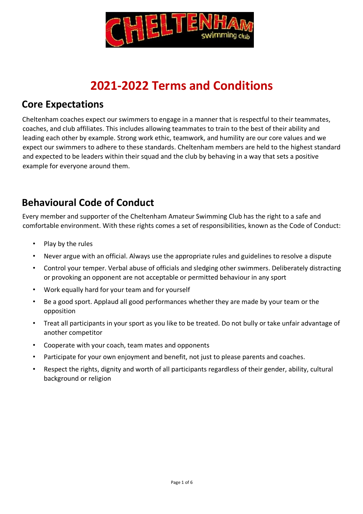

# **2021-2022 Terms and Conditions**

## **Core Expectations**

Cheltenham coaches expect our swimmers to engage in a manner that is respectful to their teammates, coaches, and club affiliates. This includes allowing teammates to train to the best of their ability and leading each other by example. Strong work ethic, teamwork, and humility are our core values and we expect our swimmers to adhere to these standards. Cheltenham members are held to the highest standard and expected to be leaders within their squad and the club by behaving in a way that sets a positive example for everyone around them.

## **Behavioural Code of Conduct**

Every member and supporter of the Cheltenham Amateur Swimming Club has the right to a safe and comfortable environment. With these rights comes a set of responsibilities, known as the Code of Conduct:

- Play by the rules
- Never argue with an official. Always use the appropriate rules and guidelines to resolve a dispute
- Control your temper. Verbal abuse of officials and sledging other swimmers. Deliberately distracting or provoking an opponent are not acceptable or permitted behaviour in any sport
- Work equally hard for your team and for yourself
- Be a good sport. Applaud all good performances whether they are made by your team or the opposition
- Treat all participants in your sport as you like to be treated. Do not bully or take unfair advantage of another competitor
- Cooperate with your coach, team mates and opponents
- Participate for your own enjoyment and benefit, not just to please parents and coaches.
- Respect the rights, dignity and worth of all participants regardless of their gender, ability, cultural background or religion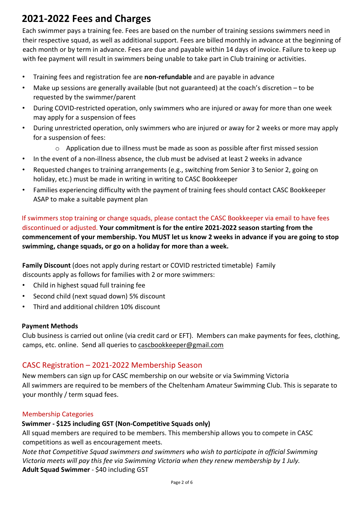## **2021-2022 Fees and Charges**

Each swimmer pays a training fee. Fees are based on the number of training sessions swimmers need in their respective squad, as well as additional support. Fees are billed monthly in advance at the beginning of each month or by term in advance. Fees are due and payable within 14 days of invoice. Failure to keep up with fee payment will result in swimmers being unable to take part in Club training or activities.

- Training fees and registration fee are **non-refundable** and are payable in advance
- Make up sessions are generally available (but not guaranteed) at the coach's discretion to be requested by the swimmer/parent
- During COVID-restricted operation, only swimmers who are injured or away for more than one week may apply for a suspension of fees
- During unrestricted operation, only swimmers who are injured or away for 2 weeks or more may apply for a suspension of fees:
	- $\circ$  Application due to illness must be made as soon as possible after first missed session
- In the event of a non-illness absence, the club must be advised at least 2 weeks in advance
- Requested changes to training arrangements (e.g., switching from Senior 3 to Senior 2, going on holiday, etc.) must be made in writing in writing to CASC Bookkeeper
- Families experiencing difficulty with the payment of training fees should contact CASC Bookkeeper ASAP to make a suitable payment plan

If swimmers stop training or change squads, please contact the CASC Bookkeeper via email to have fees discontinued or adjusted. **Your commitment is for the entire 2021-2022 season starting from the commencement of your membership. You MUST let us know 2 weeks in advance if you are going to stop swimming, change squads, or go on a holiday for more than a week.** 

**Family Discount** (does not apply during restart or COVID restricted timetable)Family discounts apply as follows for families with 2 or more swimmers:

- Child in highest squad full training fee
- Second child (next squad down) 5% discount
- Third and additional children 10% discount

### **Payment Methods**

Club business is carried out online (via credit card or EFT). Members can make payments for fees, clothing, camps, etc. online. Send all queries to cascbookkeeper@gmail.com

### CASC Registration – 2021-2022 Membership Season

New members can sign up for CASC membership on our website or via Swimming Victoria All swimmers are required to be members of the Cheltenham Amateur Swimming Club. This is separate to your monthly / term squad fees.

### Membership Categories

### **Swimmer - \$125 including GST (Non-Competitive Squads only)**

All squad members are required to be members. This membership allows you to compete in CASC competitions as well as encouragement meets.

*Note that Competitive Squad swimmers and swimmers who wish to participate in official Swimming Victoria meets will pay this fee via Swimming Victoria when they renew membership by 1 July.*  **Adult Squad Swimmer** - \$40 including GST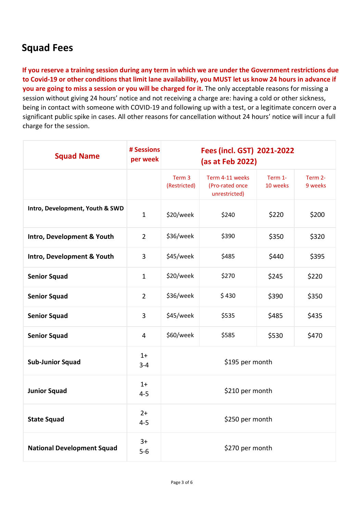## **Squad Fees**

**If you reserve a training session during any term in which we are under the Government restrictions due to Covid-19 or other conditions that limit lane availability, you MUST let us know 24 hours in advance if you are going to miss a session or you will be charged for it.** The only acceptable reasons for missing a session without giving 24 hours' notice and not receiving a charge are: having a cold or other sickness, being in contact with someone with COVID-19 and following up with a test, or a legitimate concern over a significant public spike in cases. All other reasons for cancellation without 24 hours' notice will incur a full charge for the session.

| <b>Squad Name</b>                 | # Sessions<br>per week |                        | Fees (incl. GST) 2021-2022<br>(as at Feb 2022)      |                     |                    |
|-----------------------------------|------------------------|------------------------|-----------------------------------------------------|---------------------|--------------------|
|                                   |                        | Term 3<br>(Restricted) | Term 4-11 weeks<br>(Pro-rated once<br>unrestricted) | Term 1-<br>10 weeks | Term 2-<br>9 weeks |
| Intro, Development, Youth & SWD   | $\mathbf{1}$           | \$20/week              | \$240                                               | \$220               | \$200              |
| Intro, Development & Youth        | $\overline{2}$         | \$36/week              | \$390                                               | \$350               | \$320              |
| Intro, Development & Youth        | 3                      | \$45/week              | \$485                                               | \$440               | \$395              |
| <b>Senior Squad</b>               | $\mathbf{1}$           | \$20/week              | \$270                                               | \$245               | \$220              |
| <b>Senior Squad</b>               | $\overline{2}$         | \$36/week              | \$430                                               | \$390               | \$350              |
| <b>Senior Squad</b>               | 3                      | \$45/week              | \$535                                               | \$485               | \$435              |
| <b>Senior Squad</b>               | 4                      | \$60/week              | \$585                                               | \$530               | \$470              |
| <b>Sub-Junior Squad</b>           | $1+$<br>$3 - 4$        | \$195 per month        |                                                     |                     |                    |
| <b>Junior Squad</b>               | $1+$<br>$4 - 5$        | \$210 per month        |                                                     |                     |                    |
| <b>State Squad</b>                | $2+$<br>$4 - 5$        | \$250 per month        |                                                     |                     |                    |
| <b>National Development Squad</b> | $3+$<br>$5-6$          | \$270 per month        |                                                     |                     |                    |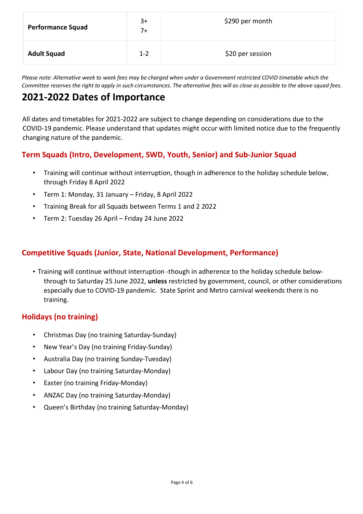| <b>Performance Squad</b> | $3+$<br>$7+$ | \$290 per month  |
|--------------------------|--------------|------------------|
| <b>Adult Squad</b>       | $1 - 2$      | \$20 per session |

*Please note: Alternative week to week fees may be charged when under a Government restricted COVID timetable which the Committee reserves the right to apply in such circumstances. The alternative fees will as close as possible to the above squad fees.*

## **2021-2022 Dates of Importance**

All dates and timetables for 2021-2022 are subject to change depending on considerations due to the COVID-19 pandemic. Please understand that updates might occur with limited notice due to the frequently changing nature of the pandemic.

## **Term Squads (Intro, Development, SWD, Youth, Senior) and Sub-Junior Squad**

- Training will continue without interruption, though in adherence to the holiday schedule below, through Friday 8 April 2022
- Term 1: Monday, 31 January Friday, 8 April 2022
- Training Break for all Squads between Terms 1 and 2 2022
- Term 2: Tuesday 26 April Friday 24 June 2022

## **Competitive Squads (Junior, State, National Development, Performance)**

• Training will continue without interruption -though in adherence to the holiday schedule belowthrough to Saturday 25 June 2022, **unless** restricted by government, council, or other considerations especially due to COVID-19 pandemic. State Sprint and Metro carnival weekends there is no training.

### **Holidays (no training)**

- Christmas Day (no training Saturday-Sunday)
- New Year's Day (no training Friday-Sunday)
- Australia Day (no training Sunday-Tuesday)
- Labour Day (no training Saturday-Monday)
- Easter (no training Friday-Monday)
- ANZAC Day (no training Saturday-Monday)
- Queen's Birthday (no training Saturday-Monday)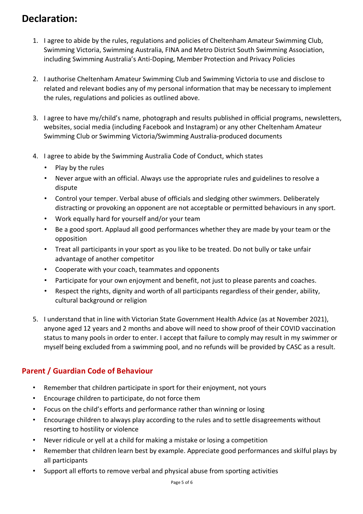## **Declaration:**

- 1. I agree to abide by the rules, regulations and policies of Cheltenham Amateur Swimming Club, Swimming Victoria, Swimming Australia, FINA and Metro District South Swimming Association, including Swimming Australia's Anti-Doping, Member Protection and Privacy Policies
- 2. I authorise Cheltenham Amateur Swimming Club and Swimming Victoria to use and disclose to related and relevant bodies any of my personal information that may be necessary to implement the rules, regulations and policies as outlined above.
- 3. I agree to have my/child's name, photograph and results published in official programs, newsletters, websites, social media (including Facebook and Instagram) or any other Cheltenham Amateur Swimming Club or Swimming Victoria/Swimming Australia-produced documents
- 4. I agree to abide by the Swimming Australia Code of Conduct, which states
	- Play by the rules
	- Never argue with an official. Always use the appropriate rules and guidelines to resolve a dispute
	- Control your temper. Verbal abuse of officials and sledging other swimmers. Deliberately distracting or provoking an opponent are not acceptable or permitted behaviours in any sport.
	- Work equally hard for yourself and/or your team
	- Be a good sport. Applaud all good performances whether they are made by your team or the opposition
	- Treat all participants in your sport as you like to be treated. Do not bully or take unfair advantage of another competitor
	- Cooperate with your coach, teammates and opponents
	- Participate for your own enjoyment and benefit, not just to please parents and coaches.
	- Respect the rights, dignity and worth of all participants regardless of their gender, ability, cultural background or religion
- 5. I understand that in line with Victorian State Government Health Advice (as at November 2021), anyone aged 12 years and 2 months and above will need to show proof of their COVID vaccination status to many pools in order to enter. I accept that failure to comply may result in my swimmer or myself being excluded from a swimming pool, and no refunds will be provided by CASC as a result.

## **Parent / Guardian Code of Behaviour**

- Remember that children participate in sport for their enjoyment, not yours
- Encourage children to participate, do not force them
- Focus on the child's efforts and performance rather than winning or losing
- Encourage children to always play according to the rules and to settle disagreements without resorting to hostility or violence
- Never ridicule or yell at a child for making a mistake or losing a competition
- Remember that children learn best by example. Appreciate good performances and skilful plays by all participants
- Support all efforts to remove verbal and physical abuse from sporting activities